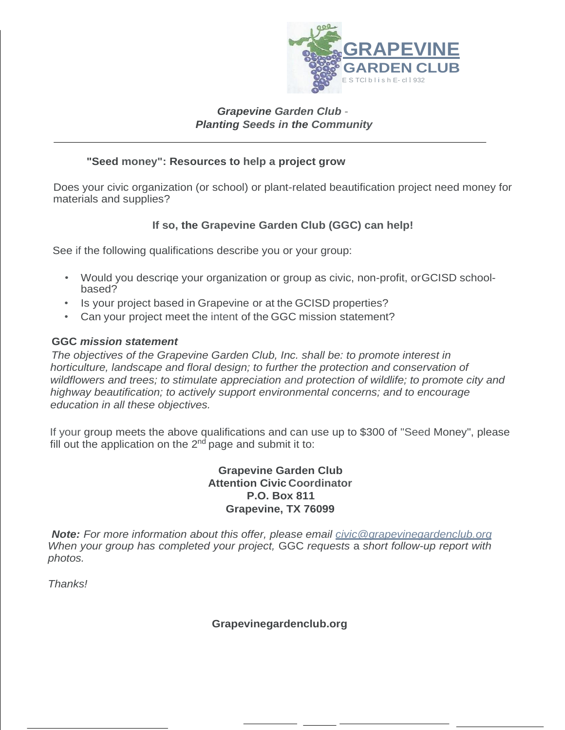

## *Grapevine Garden Club* - *Planting Seeds in the Community*

## **"Seed money": Resources to help a project grow**

Does your civic organization (or school) or plant-related beautification project need money for materials and supplies?

## **If so, the Grapevine Garden Club (GGC) can help!**

See if the following qualifications describe you or your group:

- Would you descriqe your organization or group as civic, non-profit, orGCISD schoolbased?
- Is your project based in Grapevine or at the GCISD properties?
- Can your project meet the intent of the GGC mission statement?

## **GGC** *mission statement*

*The objectives of the Grapevine Garden Club, Inc. shall be: to promote interest in horticulture, landscape and floral design; to further the protection and conservation of wildflowers and trees; to stimulate appreciation and protection of wildlife; to promote city and highway beautification; to actively support environmental concerns; and to encourage education in all these objectives.*

If your group meets the above qualifications and can use up to \$300 of "Seed Money", please fill out the application on the  $2<sup>nd</sup>$  page and submit it to:

> **Grapevine Garden Club Attention Civic Coordinator P.O. Box 811 Grapevine, TX 76099**

*Note: For more information about this offer, please email [civic@grapevinegardenclub.org](mailto:civic@grapevinegardenclub.org) When your group has completed your project,* GGC *requests* a *short follow-up report with photos.*

*Thanks!*

**Grapevinegardenclub.org**